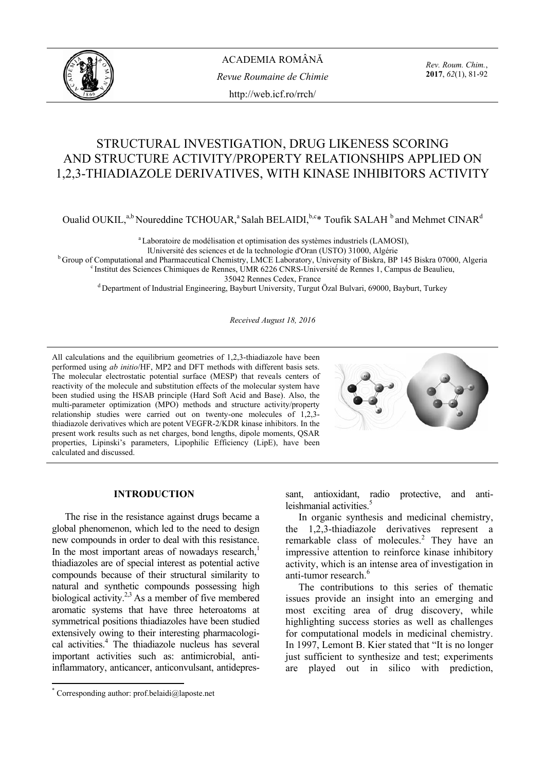

*Rev. Roum. Chim.*, **2017**, *62*(1), 81-92

# STRUCTURAL INVESTIGATION, DRUG LIKENESS SCORING AND STRUCTURE ACTIVITY/PROPERTY RELATIONSHIPS APPLIED ON 1,2,3-THIADIAZOLE DERIVATIVES, WITH KINASE INHIBITORS ACTIVITY

Oualid OUKIL,<sup>a,b</sup> Noureddine TCHOUAR,<sup>a</sup> Salah BELAIDI,<sup>b,c\*</sup> Toufik SALAH <sup>b</sup> and Mehmet CINAR<sup>d</sup>

<sup>a</sup> Laboratoire de modélisation et optimisation des systèmes industriels (LAMOSI),

<sup>b</sup> Group of Computational and Pharmaceutical Chemistry, LMCE Laboratory, University of Biskra, BP 145 Biskra 07000, Algeria<br><sup>b</sup> Group of Computational and Pharmaceutical Chemistry, LMCE Laboratory, University of Biskra, B

<sup>d</sup> Department of Industrial Engineering, Bayburt University, Turgut Özal Bulvari, 69000, Bayburt, Turkey

*Received August 18, 2016* 

All calculations and the equilibrium geometries of 1,2,3-thiadiazole have been performed using *ab initio*/HF, MP2 and DFT methods with different basis sets. The molecular electrostatic potential surface (MESP) that reveals centers of reactivity of the molecule and substitution effects of the molecular system have been studied using the HSAB principle (Hard Soft Acid and Base). Also, the multi-parameter optimization (MPO) methods and structure activity/property relationship studies were carried out on twenty-one molecules of 1,2,3 thiadiazole derivatives which are potent VEGFR-2/KDR kinase inhibitors. In the present work results such as net charges, bond lengths, dipole moments, QSAR properties, Lipinski's parameters, Lipophilic Efficiency (LipE), have been calculated and discussed.



#### **INTRODUCTION\***

The rise in the resistance against drugs became a global phenomenon, which led to the need to design new compounds in order to deal with this resistance. In the most important areas of nowadays research, $<sup>1</sup>$ </sup> thiadiazoles are of special interest as potential active compounds because of their structural similarity to natural and synthetic compounds possessing high biological activity.<sup>2,3</sup> As a member of five membered aromatic systems that have three heteroatoms at symmetrical positions thiadiazoles have been studied extensively owing to their interesting pharmacological activities.<sup>4</sup> The thiadiazole nucleus has several important activities such as: antimicrobial, antiinflammatory, anticancer, anticonvulsant, antidepressant, antioxidant, radio protective, and antileishmanial activities.<sup>5</sup>

In organic synthesis and medicinal chemistry, the 1,2,3-thiadiazole derivatives represent a remarkable class of molecules.<sup>2</sup> They have an impressive attention to reinforce kinase inhibitory activity, which is an intense area of investigation in anti-tumor research.<sup>6</sup>

The contributions to this series of thematic issues provide an insight into an emerging and most exciting area of drug discovery, while highlighting success stories as well as challenges for computational models in medicinal chemistry. In 1997, Lemont B. Kier stated that "It is no longer just sufficient to synthesize and test; experiments are played out in silico with prediction,

 \* Corresponding author: prof.belaidi@laposte.net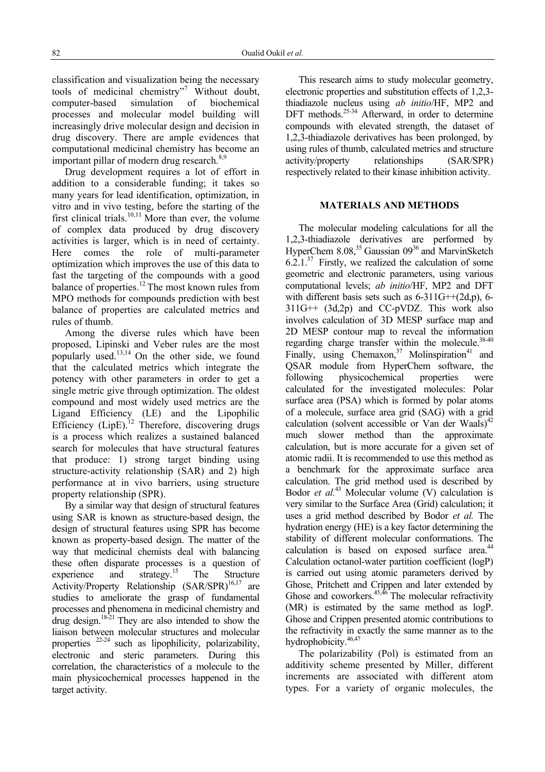classification and visualization being the necessary tools of medicinal chemistry"<sup>7</sup> Without doubt, computer-based simulation of biochemical processes and molecular model building will increasingly drive molecular design and decision in drug discovery. There are ample evidences that computational medicinal chemistry has become an important pillar of modern drug research.<sup>8,9</sup>

Drug development requires a lot of effort in addition to a considerable funding; it takes so many years for lead identification, optimization, in vitro and in vivo testing, before the starting of the first clinical trials.<sup>10,11</sup> More than ever, the volume of complex data produced by drug discovery activities is larger, which is in need of certainty. Here comes the role of multi-parameter optimization which improves the use of this data to fast the targeting of the compounds with a good balance of properties.<sup>12</sup> The most known rules from MPO methods for compounds prediction with best balance of properties are calculated metrics and rules of thumb.

Among the diverse rules which have been proposed, Lipinski and Veber rules are the most popularly used.13,14 On the other side, we found that the calculated metrics which integrate the potency with other parameters in order to get a single metric give through optimization. The oldest compound and most widely used metrics are the Ligand Efficiency (LE) and the Lipophilic Efficiency  $(LipE)^{12}$  Therefore, discovering drugs is a process which realizes a sustained balanced search for molecules that have structural features that produce: 1) strong target binding using structure-activity relationship (SAR) and 2) high performance at in vivo barriers, using structure property relationship (SPR).

By a similar way that design of structural features using SAR is known as structure-based design, the design of structural features using SPR has become known as property-based design. The matter of the way that medicinal chemists deal with balancing these often disparate processes is a question of experience and strategy.<sup>15</sup> The Structure Activity/Property Relationship (SAR/SPR)<sup>16,17</sup> are studies to ameliorate the grasp of fundamental processes and phenomena in medicinal chemistry and drug design. $18-21$  They are also intended to show the liaison between molecular structures and molecular properties  $22-24$  such as lipophilicity, polarizability, electronic and steric parameters. During this correlation, the characteristics of a molecule to the main physicochemical processes happened in the target activity.

This research aims to study molecular geometry, electronic properties and substitution effects of 1,2,3 thiadiazole nucleus using *ab initio*/HF, MP2 and DFT methods.<sup>25-34</sup> Afterward, in order to determine compounds with elevated strength, the dataset of 1,2,3-thiadiazole derivatives has been prolonged, by using rules of thumb, calculated metrics and structure activity/property relationships (SAR/SPR) respectively related to their kinase inhibition activity.

### **MATERIALS AND METHODS**

The molecular modeling calculations for all the 1,2,3-thiadiazole derivatives are performed by HyperChem 8.08,<sup>35</sup> Gaussian 09<sup>36</sup> and MarvinSketch  $6.2.1<sup>37</sup>$  Firstly, we realized the calculation of some geometric and electronic parameters, using various computational levels; *ab initio*/HF, MP2 and DFT with different basis sets such as  $6-311G++(2d,p)$ ,  $6 311G++$   $(3d,2p)$  and CC-pVDZ. This work also involves calculation of 3D MESP surface map and 2D MESP contour map to reveal the information regarding charge transfer within the molecule. $38-40$ Finally, using Chemaxon,  $37$  Molinspiration<sup>41</sup> and QSAR module from HyperChem software, the following physicochemical properties were calculated for the investigated molecules: Polar surface area (PSA) which is formed by polar atoms of a molecule, surface area grid (SAG) with a grid calculation (solvent accessible or Van der Waals)<sup>42</sup> much slower method than the approximate calculation, but is more accurate for a given set of atomic radii. It is recommended to use this method as a benchmark for the approximate surface area calculation. The grid method used is described by Bodor *et al.*<sup>43</sup> Molecular volume (V) calculation is very similar to the Surface Area (Grid) calculation; it uses a grid method described by Bodor *et al.* The hydration energy (HE) is a key factor determining the stability of different molecular conformations. The calculation is based on exposed surface area.<sup>44</sup> Calculation octanol-water partition coefficient (logP) is carried out using atomic parameters derived by Ghose, Pritchett and Crippen and later extended by Ghose and coworkers. $45,46$  The molecular refractivity (MR) is estimated by the same method as logP. Ghose and Crippen presented atomic contributions to the refractivity in exactly the same manner as to the hydrophobicity.<sup>46,47</sup>

The polarizability (Pol) is estimated from an additivity scheme presented by Miller, different increments are associated with different atom types. For a variety of organic molecules, the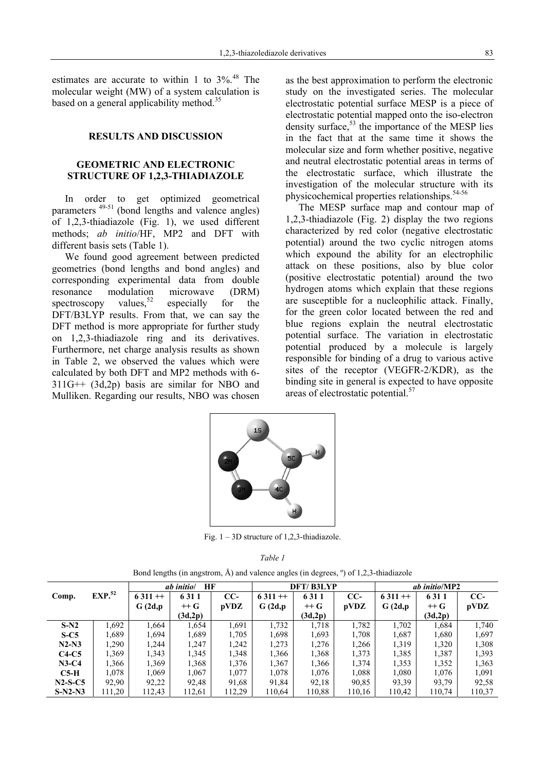estimates are accurate to within 1 to  $3\%$ .<sup>48</sup> The molecular weight (MW) of a system calculation is based on a general applicability method.<sup>35</sup>

#### **RESULTS AND DISCUSSION**

## **GEOMETRIC AND ELECTRONIC STRUCTURE OF 1,2,3-THIADIAZOLE**

In order to get optimized geometrical parameters 49-51 (bond lengths and valence angles) of 1,2,3-thiadiazole (Fig. 1), we used different methods; *ab initio*/HF, MP2 and DFT with different basis sets (Table 1).

We found good agreement between predicted geometries (bond lengths and bond angles) and corresponding experimental data from double resonance modulation microwave (DRM) spectroscopy values,<sup>52</sup> especially for the DFT/B3LYP results. From that, we can say the DFT method is more appropriate for further study on 1,2,3-thiadiazole ring and its derivatives. Furthermore, net charge analysis results as shown in Table 2, we observed the values which were calculated by both DFT and MP2 methods with 6- 311G++ (3d,2p) basis are similar for NBO and Mulliken. Regarding our results, NBO was chosen as the best approximation to perform the electronic study on the investigated series. The molecular electrostatic potential surface MESP is a piece of electrostatic potential mapped onto the iso-electron density surface,  $53$  the importance of the MESP lies in the fact that at the same time it shows the molecular size and form whether positive, negative and neutral electrostatic potential areas in terms of the electrostatic surface, which illustrate the investigation of the molecular structure with its physicochemical properties relationships.<sup>54-56</sup>

The MESP surface map and contour map of 1,2,3-thiadiazole (Fig. 2) display the two regions characterized by red color (negative electrostatic potential) around the two cyclic nitrogen atoms which expound the ability for an electrophilic attack on these positions, also by blue color (positive electrostatic potential) around the two hydrogen atoms which explain that these regions are susceptible for a nucleophilic attack. Finally, for the green color located between the red and blue regions explain the neutral electrostatic potential surface. The variation in electrostatic potential produced by a molecule is largely responsible for binding of a drug to various active sites of the receptor (VEGFR-2/KDR), as the binding site in general is expected to have opposite areas of electrostatic potential.<sup>57</sup>



Fig.  $1 - 3D$  structure of 1,2,3-thiadiazole.

|--|--|

|  |  |  | Bond lengths (in angstrom, $\AA$ ) and valence angles (in degrees, $\degree$ ) of 1,2,3-thiadiazole |  |  |
|--|--|--|-----------------------------------------------------------------------------------------------------|--|--|
|--|--|--|-----------------------------------------------------------------------------------------------------|--|--|

|           |                    | ab initio/<br>HF |         |        | DFT/B3LYP |                   |        | <i>ab initio</i> /MP2 |         |        |
|-----------|--------------------|------------------|---------|--------|-----------|-------------------|--------|-----------------------|---------|--------|
| Comp.     | EXP. <sup>52</sup> | $6311 + +$       | 6 3 1 1 | $CC-$  | $6311 +$  | 6311              | $CC-$  | $6311 + +$            | 6311    | $CC-$  |
|           |                    | G(2d,p)          | $+$ + G | pVDZ   | G(2d,p)   | $+$ + $\mathbf G$ | pVDZ   | G(2d,p)               | $+$ G   | pVDZ   |
|           |                    |                  | (3d,2p) |        |           | (3d,2p)           |        |                       | (3d,2p) |        |
| $S-N2$    | 1,692              | 1,664            | 1,654   | 1,691  | 1,732     | 1.718             | 1,782  | 1,702                 | 1,684   | 1,740  |
| $S-C5$    | 1,689              | 1,694            | 1,689   | 1,705  | 1,698     | 1,693             | 1,708  | 1,687                 | 1,680   | 1,697  |
| $N2-N3$   | 1,290              | 1.244            | 1,247   | 1,242  | 1,273     | 1,276             | 1,266  | 1,319                 | 1,320   | 1,308  |
| $C4-C5$   | 1.369              | 1,343            | 1,345   | 1,348  | 1,366     | 1,368             | 1,373  | 1,385                 | 1,387   | 1,393  |
| $N3-C4$   | 1,366              | 1,369            | 1,368   | 1,376  | 1,367     | 1,366             | 1,374  | 1,353                 | 1,352   | 1,363  |
| $C5-H$    | 1.078              | 1.069            | 1,067   | 1.077  | 1.078     | 1,076             | 1,088  | 1,080                 | 1,076   | 1.091  |
| $N2-S-C5$ | 92,90              | 92,22            | 92,48   | 91,68  | 91,84     | 92,18             | 90,85  | 93,39                 | 93,79   | 92,58  |
| $S-N2-N3$ | 111,20             | 112,43           | 112,61  | 112,29 | 110,64    | 110,88            | 110,16 | 110,42                | 110,74  | 110,37 |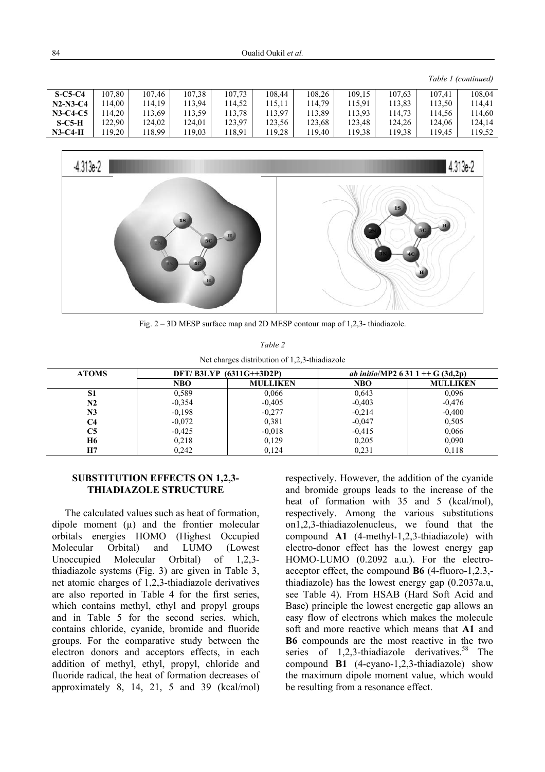#### *Table 1 (continued)*

| $S-C5-C4$  | 107.80 | 107.46 | 107.38 | 107.73 | 108.44 | 108,26 | 109,15 | 107.63 | 107.41 | 108.04 |
|------------|--------|--------|--------|--------|--------|--------|--------|--------|--------|--------|
| $N2-N3-C4$ | 14.00  | 114.19 | 113.94 | 114.52 | 115.11 | 14.79  | 115.91 | 13,83  | 113.50 | 114.41 |
| $N3-C4-C5$ | 14.20  | 113.69 | 113.59 | 113.78 | 113.97 | 13,89  | 113.93 | 14,73  | 14.56  | 114.60 |
| $S$ -C5-H  | 122,90 | 124.02 | 124.01 | 123,97 | 123,56 | 123,68 | 123.48 | 124.26 | 124.06 | 124.14 |
| $N3-C4-H$  | 19.20  | 118.99 | 19,03  | 118.91 | 119,28 | 19,40  | 119,38 | 19.38  | 119.45 | 119.52 |



Fig. 2 – 3D MESP surface map and 2D MESP contour map of 1,2,3- thiadiazole.

| Table 2                                       |
|-----------------------------------------------|
| Net charges distribution of 1,2,3-thiadiazole |

| <b>ATOMS</b> | $DFT/B3LYP (6311G++3D2P)$ |                 |            | <i>ab initio</i> /MP2 6 31 1 + $G(3d,2p)$ |
|--------------|---------------------------|-----------------|------------|-------------------------------------------|
|              | <b>NBO</b>                | <b>MULLIKEN</b> | <b>NBO</b> | <b>MULLIKEN</b>                           |
| S1           | 0.589                     | 0,066           | 0,643      | 0,096                                     |
| N2           | $-0.354$                  | $-0.405$        | $-0,403$   | $-0,476$                                  |
| N3           | $-0.198$                  | $-0.277$        | $-0,214$   | $-0,400$                                  |
| C4           | $-0.072$                  | 0,381           | $-0,047$   | 0,505                                     |
| C5           | $-0,425$                  | $-0.018$        | $-0.415$   | 0,066                                     |
| <b>H6</b>    | 0,218                     | 0,129           | 0,205      | 0,090                                     |
| Н7           | 0.242                     | 0,124           | 0.231      | 0,118                                     |

#### **SUBSTITUTION EFFECTS ON 1,2,3- THIADIAZOLE STRUCTURE**

The calculated values such as heat of formation, dipole moment  $(u)$  and the frontier molecular orbitals energies HOMO (Highest Occupied Molecular Orbital) and LUMO (Lowest Unoccupied Molecular Orbital) of 1,2,3 thiadiazole systems (Fig. 3) are given in Table 3, net atomic charges of 1,2,3-thiadiazole derivatives are also reported in Table 4 for the first series, which contains methyl, ethyl and propyl groups and in Table 5 for the second series. which, contains chloride, cyanide, bromide and fluoride groups. For the comparative study between the electron donors and acceptors effects, in each addition of methyl, ethyl, propyl, chloride and fluoride radical, the heat of formation decreases of approximately 8, 14, 21, 5 and 39 (kcal/mol)

respectively. However, the addition of the cyanide and bromide groups leads to the increase of the heat of formation with 35 and 5 (kcal/mol), respectively. Among the various substitutions on1,2,3-thiadiazolenucleus, we found that the compound **A1** (4-methyl-1,2,3-thiadiazole) with electro-donor effect has the lowest energy gap HOMO-LUMO (0.2092 a.u.). For the electroacceptor effect, the compound **B6** (4-fluoro-1,2.3, thiadiazole) has the lowest energy gap (0.2037a.u, see Table 4). From HSAB (Hard Soft Acid and Base) principle the lowest energetic gap allows an easy flow of electrons which makes the molecule soft and more reactive which means that **A1** and **B6** compounds are the most reactive in the two series of  $1,2,3$ -thiadiazole derivatives.<sup>58</sup> The compound **B1** (4-cyano-1,2,3-thiadiazole) show the maximum dipole moment value, which would be resulting from a resonance effect.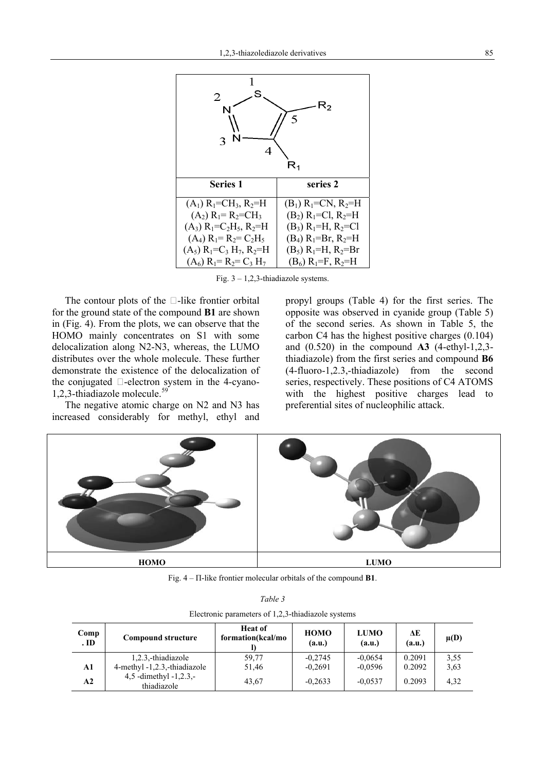

Fig.  $3 - 1,2,3$ -thiadiazole systems.

The contour plots of the □-like frontier orbital for the ground state of the compound **B1** are shown in (Fig. 4). From the plots, we can observe that the HOMO mainly concentrates on S1 with some delocalization along N2-N3, whereas, the LUMO distributes over the whole molecule. These further demonstrate the existence of the delocalization of the conjugated  $\Box$ -electron system in the 4-cyano-1,2,3-thiadiazole molecule.<sup>59</sup>

The negative atomic charge on N2 and N3 has increased considerably for methyl, ethyl and propyl groups (Table 4) for the first series. The opposite was observed in cyanide group (Table 5) of the second series. As shown in Table 5, the carbon C4 has the highest positive charges (0.104) and (0.520) in the compound **A3** (4-ethyl-1,2,3 thiadiazole) from the first series and compound **B6** (4-fluoro-1,2.3,-thiadiazole) from the second series, respectively. These positions of C4 ATOMS with the highest positive charges lead to preferential sites of nucleophilic attack.



Fig. 4 – Π-like frontier molecular orbitals of the compound **B1**.

| Table 3 |  |
|---------|--|
|         |  |

|  | Electronic parameters of 1,2,3-thiadiazole systems |
|--|----------------------------------------------------|
|--|----------------------------------------------------|

| Comp<br>ID    | <b>Compound structure</b>             | <b>Heat of</b><br>formation(kcal/mo | <b>HOMO</b><br>(a.u.) | <b>LUMO</b><br>(a.u.) | ΔE<br>(a.u.) | $\mu(D)$ |
|---------------|---------------------------------------|-------------------------------------|-----------------------|-----------------------|--------------|----------|
|               | 1,2,3,-thiadiazole                    | 59,77                               | $-0.2745$             | $-0.0654$             | 0.2091       | 3.55     |
| A1            | 4-methyl -1,2.3,-thiadiazole          | 51,46                               | $-0.2691$             | $-0.0596$             | 0.2092       | 3.63     |
| $\mathbf{A2}$ | 4,5 -dimethyl -1,2.3,-<br>thiadiazole | 43.67                               | $-0.2633$             | $-0.0537$             | 0.2093       | 4,32     |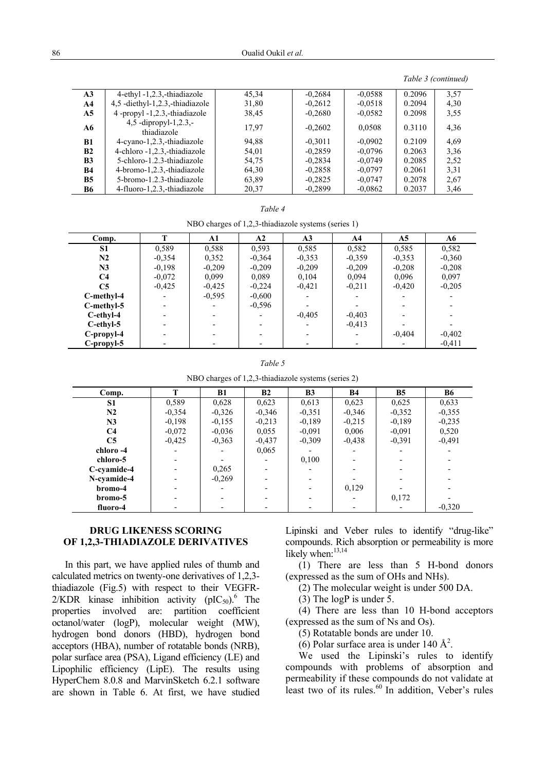*Table 3 (continued)* 

| A3             | 4-ethyl -1,2.3,-thiadiazole          | 45,34 | $-0,2684$ | $-0.0588$ | 0.2096 | 3.57 |
|----------------|--------------------------------------|-------|-----------|-----------|--------|------|
| A4             | 4.5 -diethyl-1.2.3 -thiadiazole      | 31,80 | $-0,2612$ | $-0.0518$ | 0.2094 | 4,30 |
| A5             | 4 -propyl -1,2.3,-thiadiazole        | 38,45 | $-0.2680$ | $-0.0582$ | 0.2098 | 3,55 |
| A6             | 4,5 -dipropyl-1,2.3,-<br>thiadiazole | 17,97 | $-0.2602$ | 0.0508    | 0.3110 | 4,36 |
| B1             | 4-cyano-1,2.3,-thiadiazole           | 94,88 | $-0.3011$ | $-0.0902$ | 0.2109 | 4,69 |
| <b>B2</b>      | 4-chloro -1,2.3,-thiadiazole         | 54,01 | $-0.2859$ | $-0.0796$ | 0.2063 | 3.36 |
| B <sub>3</sub> | 5-chloro-1.2.3-thiadiazole           | 54,75 | $-0.2834$ | $-0.0749$ | 0.2085 | 2.52 |
| <b>B4</b>      | 4-bromo-1,2.3,-thiadiazole           | 64,30 | $-0.2858$ | $-0.0797$ | 0.2061 | 3.31 |
| B <sub>5</sub> | 5-bromo-1.2.3-thiadiazole            | 63,89 | $-0.2825$ | $-0.0747$ | 0.2078 | 2,67 |
| <b>B6</b>      | 4-fluoro-1,2.3,-thiadiazole          | 20.37 | $-0.2899$ | $-0.0862$ | 0.2037 | 3.46 |

| ani |  |
|-----|--|
|     |  |

NBO charges of 1,2,3-thiadiazole systems (series 1)

| Comp.          | т        | A1       | A2                       | A <sub>3</sub> | A4       | A <sub>5</sub>           | A6       |
|----------------|----------|----------|--------------------------|----------------|----------|--------------------------|----------|
| S <sub>1</sub> | 0.589    | 0,588    | 0,593                    | 0.585          | 0,582    | 0,585                    | 0,582    |
| N2             | $-0.354$ | 0,352    | $-0.364$                 | $-0.353$       | $-0.359$ | $-0.353$                 | $-0.360$ |
| N3             | $-0.198$ | $-0.209$ | $-0,209$                 | $-0,209$       | $-0,209$ | $-0,208$                 | $-0.208$ |
| C <sub>4</sub> | $-0.072$ | 0.099    | 0,089                    | 0,104          | 0,094    | 0,096                    | 0,097    |
| C <sub>5</sub> | $-0.425$ | $-0,425$ | $-0,224$                 | $-0,421$       | $-0.211$ | $-0,420$                 | $-0.205$ |
| C-methyl-4     |          | $-0.595$ | $-0.600$                 |                |          | $\overline{\phantom{0}}$ |          |
| C-methyl-5     |          |          | $-0.596$                 |                |          | $\overline{\phantom{0}}$ |          |
| C-ethyl-4      |          |          |                          | $-0,405$       | $-0,403$ |                          |          |
| $C$ -ethyl-5   |          |          | $\overline{\phantom{0}}$ |                | $-0.413$ |                          |          |
| $C$ -propyl-4  |          |          |                          |                |          | $-0,404$                 | $-0.402$ |
| C-propyl-5     |          |          |                          |                |          |                          | $-0.411$ |

| ٦<br>anı |  |
|----------|--|
|----------|--|

NBO charges of 1,2,3-thiadiazole systems (series 2)

| Comp.          | T        | <b>B1</b> | B2       | <b>B3</b> | <b>B4</b> | <b>B5</b> | <b>B6</b> |
|----------------|----------|-----------|----------|-----------|-----------|-----------|-----------|
| S <sub>1</sub> | 0,589    | 0.628     | 0.623    | 0.613     | 0,623     | 0.625     | 0,633     |
| N2             | $-0.354$ | $-0,326$  | $-0.346$ | $-0.351$  | $-0,346$  | $-0.352$  | $-0.355$  |
| N3             | $-0.198$ | $-0.155$  | $-0.213$ | $-0.189$  | $-0.215$  | $-0.189$  | $-0.235$  |
| C <sub>4</sub> | $-0.072$ | $-0.036$  | 0,055    | $-0.091$  | 0,006     | $-0.091$  | 0,520     |
| C <sub>5</sub> | $-0.425$ | $-0.363$  | $-0.437$ | $-0.309$  | $-0.438$  | $-0.391$  | $-0.491$  |
| chloro -4      |          |           | 0,065    |           |           |           |           |
| chloro-5       |          |           |          | 0,100     |           |           |           |
| C-cvamide-4    |          | 0,265     |          |           |           |           |           |
| N-cyamide-4    |          | $-0.269$  |          |           |           |           |           |
| bromo-4        |          |           |          |           | 0,129     |           |           |
| bromo-5        |          |           |          |           |           | 0,172     |           |
| fluoro-4       |          |           |          |           |           |           | $-0,320$  |

#### **DRUG LIKENESS SCORING OF 1,2,3-THIADIAZOLE DERIVATIVES**

In this part, we have applied rules of thumb and calculated metrics on twenty-one derivatives of 1,2,3 thiadiazole (Fig.5) with respect to their VEGFR-2/KDR kinase inhibition activity  $(pIC_{50})$ <sup>6</sup> The properties involved are: partition coefficient octanol/water (logP), molecular weight (MW), hydrogen bond donors (HBD), hydrogen bond acceptors (HBA), number of rotatable bonds (NRB), polar surface area (PSA), Ligand efficiency (LE) and Lipophilic efficiency (LipE). The results using HyperChem 8.0.8 and MarvinSketch 6.2.1 software are shown in Table 6. At first, we have studied Lipinski and Veber rules to identify "drug-like" compounds. Rich absorption or permeability is more likely when:<sup>13,14</sup>

(1) There are less than 5 H-bond donors (expressed as the sum of OHs and NHs).

(2) The molecular weight is under 500 DA.

 $(3)$  The logP is under 5.

(4) There are less than 10 H-bond acceptors (expressed as the sum of Ns and Os).

(5) Rotatable bonds are under 10.

 $(6)$  Polar surface area is under 140 Å<sup>2</sup>.

We used the Lipinski's rules to identify compounds with problems of absorption and permeability if these compounds do not validate at least two of its rules.<sup>60</sup> In addition, Veber's rules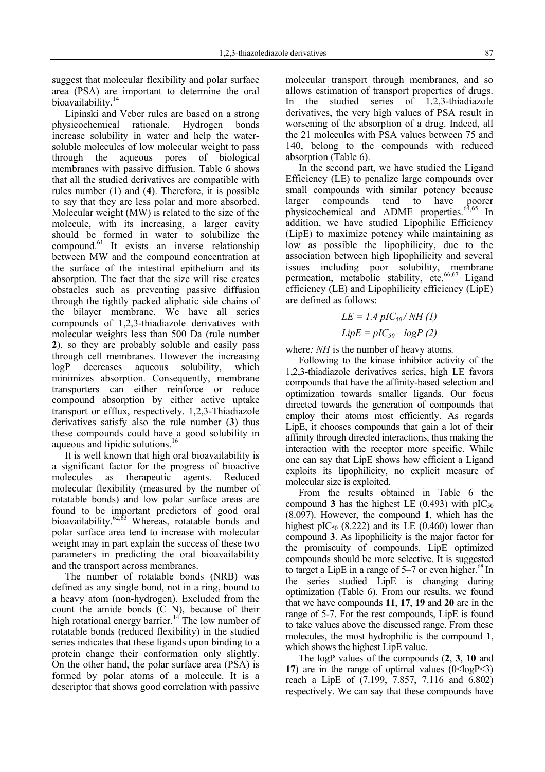suggest that molecular flexibility and polar surface area (PSA) are important to determine the oral bioavailability.<sup>14</sup>

Lipinski and Veber rules are based on a strong physicochemical rationale. Hydrogen bonds increase solubility in water and help the watersoluble molecules of low molecular weight to pass through the aqueous pores of biological membranes with passive diffusion. Table 6 shows that all the studied derivatives are compatible with rules number (**1**) and (**4**). Therefore, it is possible to say that they are less polar and more absorbed. Molecular weight (MW) is related to the size of the molecule, with its increasing, a larger cavity should be formed in water to solubilize the compound.61 It exists an inverse relationship between MW and the compound concentration at the surface of the intestinal epithelium and its absorption. The fact that the size will rise creates obstacles such as preventing passive diffusion through the tightly packed aliphatic side chains of the bilayer membrane. We have all series compounds of 1,2,3-thiadiazole derivatives with molecular weights less than 500 Da (rule number **2**), so they are probably soluble and easily pass through cell membranes. However the increasing logP decreases aqueous solubility, which minimizes absorption. Consequently, membrane transporters can either reinforce or reduce compound absorption by either active uptake transport or efflux, respectively. 1,2,3-Thiadiazole derivatives satisfy also the rule number (**3**) thus these compounds could have a good solubility in aqueous and lipidic solutions.<sup>16</sup>

It is well known that high oral bioavailability is a significant factor for the progress of bioactive molecules as therapeutic agents. Reduced molecular flexibility (measured by the number of rotatable bonds) and low polar surface areas are found to be important predictors of good oral bioavailability.<sup>62,63</sup> Whereas, rotatable bonds and polar surface area tend to increase with molecular weight may in part explain the success of these two parameters in predicting the oral bioavailability and the transport across membranes.

The number of rotatable bonds (NRB) was defined as any single bond, not in a ring, bound to a heavy atom (non-hydrogen). Excluded from the count the amide bonds (C–N), because of their high rotational energy barrier.<sup>14</sup> The low number of rotatable bonds (reduced flexibility) in the studied series indicates that these ligands upon binding to a protein change their conformation only slightly. On the other hand, the polar surface area (PSA) is formed by polar atoms of a molecule. It is a descriptor that shows good correlation with passive

molecular transport through membranes, and so allows estimation of transport properties of drugs. In the studied series of 1,2,3-thiadiazole derivatives, the very high values of PSA result in worsening of the absorption of a drug. Indeed, all the 21 molecules with PSA values between 75 and 140, belong to the compounds with reduced absorption (Table 6).

In the second part, we have studied the Ligand Efficiency (LE) to penalize large compounds over small compounds with similar potency because larger compounds tend to have poorer physicochemical and ADME properties.<sup>64,65</sup> In addition, we have studied Lipophilic Efficiency (LipE) to maximize potency while maintaining as low as possible the lipophilicity, due to the association between high lipophilicity and several issues including poor solubility, membrane permeation, metabolic stability, etc.<sup>66,67</sup> Ligand efficiency (LE) and Lipophilicity efficiency (LipE) are defined as follows:

$$
LE = 1.4 \, pIC_{50} / NH (1)
$$

$$
LipE = pIC_{50} - logP(2)
$$

where*: NH* is the number of heavy atoms*.*

Following to the kinase inhibitor activity of the 1,2,3-thiadiazole derivatives series, high LE favors compounds that have the affinity-based selection and optimization towards smaller ligands. Our focus directed towards the generation of compounds that employ their atoms most efficiently. As regards LipE, it chooses compounds that gain a lot of their affinity through directed interactions, thus making the interaction with the receptor more specific. While one can say that LipE shows how efficient a Ligand exploits its lipophilicity, no explicit measure of molecular size is exploited.

From the results obtained in Table 6 the compound **3** has the highest LE (0.493) with  $pIC_{50}$ (8.097). However, the compound **1**, which has the highest pIC<sub>50</sub> (8.222) and its LE (0.460) lower than compound **3**. As lipophilicity is the major factor for the promiscuity of compounds, LipE optimized compounds should be more selective. It is suggested to target a LipE in a range of  $5-7$  or even higher.<sup>68</sup> In the series studied LipE is changing during optimization (Table 6). From our results, we found that we have compounds **11**, **17**, **19** and **20** are in the range of 5-7. For the rest compounds, LipE is found to take values above the discussed range. From these molecules, the most hydrophilic is the compound **1**, which shows the highest LipE value.

The logP values of the compounds (**2**, **3**, **10** and **17**) are in the range of optimal values  $(0 < logP < 3)$ reach a LipE of (7.199, 7.857, 7.116 and 6.802) respectively. We can say that these compounds have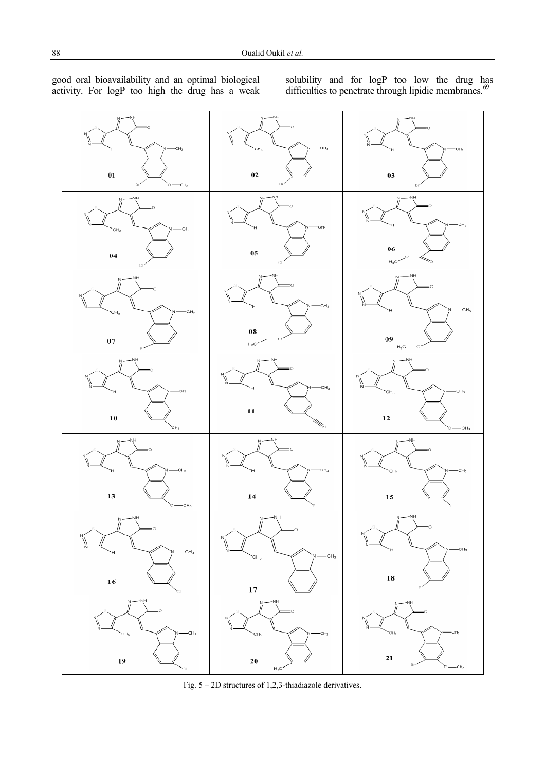

good oral bioavailability and an optimal biological activity. For logP too high the drug has a weak solubility and for logP too low the drug has difficulties to penetrate through lipidic membranes.<sup>69</sup>

Fig. 5 – 2D structures of 1,2,3-thiadiazole derivatives.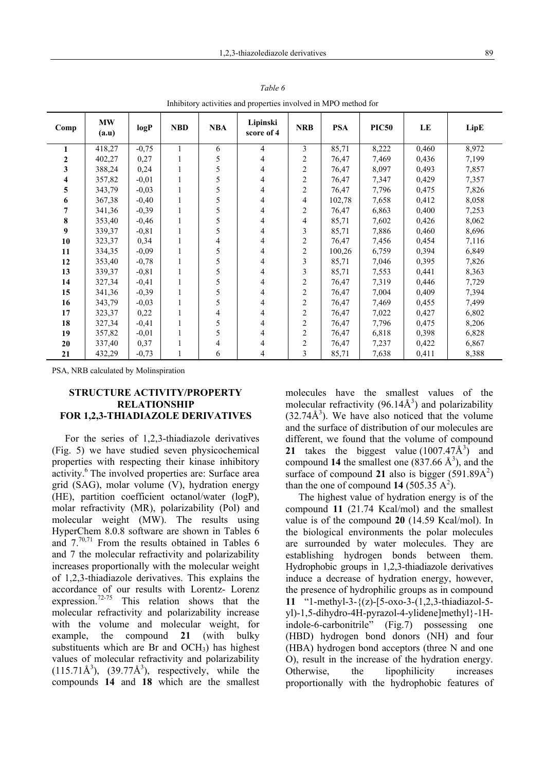| minutionly activities and properties involved in MFO method for |                    |          |            |            |                        |            |            |              |       |       |
|-----------------------------------------------------------------|--------------------|----------|------------|------------|------------------------|------------|------------|--------------|-------|-------|
| Comp                                                            | <b>MW</b><br>(a.u) | logP     | <b>NBD</b> | <b>NBA</b> | Lipinski<br>score of 4 | <b>NRB</b> | <b>PSA</b> | <b>PIC50</b> | LE    | LipE  |
|                                                                 | 418,27             | $-0,75$  |            | 6          | 4                      | 3          | 85,71      | 8,222        | 0,460 | 8,972 |
| 2                                                               | 402,27             | 0,27     |            | 5          | 4                      | 2          | 76,47      | 7,469        | 0,436 | 7,199 |
| 3                                                               | 388,24             | 0,24     |            | 5          | 4                      | 2          | 76,47      | 8,097        | 0,493 | 7,857 |
| 4                                                               | 357,82             | $-0.01$  |            | 5          | 4                      | 2          | 76,47      | 7,347        | 0,429 | 7,357 |
| 5                                                               | 343,79             | $-0,03$  |            | 5          | 4                      | 2          | 76,47      | 7,796        | 0,475 | 7,826 |
| 6                                                               | 367,38             | $-0,40$  |            | 5          | 4                      | 4          | 102,78     | 7,658        | 0,412 | 8,058 |
| 7                                                               | 341,36             | $-0,39$  |            | 5          | 4                      | 2          | 76,47      | 6,863        | 0,400 | 7,253 |
| 8                                                               | 353,40             | $-0,46$  |            | 5          | 4                      | 4          | 85,71      | 7,602        | 0,426 | 8,062 |
| 9                                                               | 339,37             | $-0,81$  |            | 5          | 4                      | 3          | 85,71      | 7,886        | 0,460 | 8,696 |
| 10                                                              | 323,37             | 0,34     |            | 4          | 4                      | 2          | 76,47      | 7,456        | 0,454 | 7,116 |
| 11                                                              | 334,35             | $-0,09$  |            | 5          |                        | 2          | 100,26     | 6,759        | 0,394 | 6,849 |
| 12                                                              | 353,40             | $-0,78$  |            | 5          | 4                      | 3          | 85,71      | 7,046        | 0,395 | 7,826 |
| 13                                                              | 339,37             | $-0, 81$ |            | 5          | 4                      | 3          | 85,71      | 7,553        | 0,441 | 8,363 |
| 14                                                              | 327,34             | $-0,41$  |            | 5          | 4                      | 2          | 76,47      | 7,319        | 0,446 | 7,729 |
| 15                                                              | 341,36             | $-0,39$  |            | 5          |                        | 2          | 76,47      | 7,004        | 0,409 | 7,394 |
| 16                                                              | 343,79             | $-0,03$  |            | 5          |                        | 2          | 76,47      | 7,469        | 0,455 | 7,499 |
| 17                                                              | 323,37             | 0,22     |            | 4          |                        | 2          | 76,47      | 7,022        | 0,427 | 6,802 |
| 18                                                              | 327,34             | $-0,41$  |            | 5          | 4                      | 2          | 76,47      | 7,796        | 0,475 | 8,206 |
| 19                                                              | 357,82             | $-0,01$  |            | 5          | 4                      | 2          | 76,47      | 6,818        | 0,398 | 6,828 |
| 20                                                              | 337,40             | 0,37     |            | 4          |                        | 2          | 76,47      | 7,237        | 0,422 | 6,867 |
| 21                                                              | 432,29             | $-0.73$  |            | 6          | 4                      | 3          | 85,71      | 7,638        | 0,411 | 8,388 |

*Table 6*

Inhibitory activities and properties involved in MPO method for

PSA, NRB calculated by Molinspiration

### **STRUCTURE ACTIVITY/PROPERTY RELATIONSHIP FOR 1,2,3-THIADIAZOLE DERIVATIVES**

For the series of 1,2,3-thiadiazole derivatives (Fig. 5) we have studied seven physicochemical properties with respecting their kinase inhibitory activity.<sup>6</sup> The involved properties are: Surface area grid (SAG), molar volume (V), hydration energy (HE), partition coefficient octanol/water (logP), molar refractivity (MR), polarizability (Pol) and molecular weight (MW). The results using HyperChem 8.0.8 software are shown in Tables 6 and  $7^{70,71}$  From the results obtained in Tables 6 and 7 the molecular refractivity and polarizability increases proportionally with the molecular weight of 1,2,3-thiadiazole derivatives. This explains the accordance of our results with Lorentz- Lorenz expression.<sup>72-75</sup> This relation shows that the molecular refractivity and polarizability increase with the volume and molecular weight, for example, the compound **21** (with bulky substituents which are Br and  $OCH<sub>3</sub>$ ) has highest values of molecular refractivity and polarizability  $(115.71\text{\AA}^3)$ ,  $(39.77\text{\AA}^3)$ , respectively, while the compounds **14** and **18** which are the smallest

molecules have the smallest values of the molecular refractivity  $(96.14\text{\AA}^3)$  and polarizability  $(32.74\text{\AA}^3)$ . We have also noticed that the volume and the surface of distribution of our molecules are different, we found that the volume of compound 21 takes the biggest value  $(1007.47\text{\AA}^3)$  and compound 14 the smallest one  $(837.66 \text{ Å}^3)$ , and the surface of compound 21 also is bigger  $(591.89A<sup>2</sup>)$ than the one of compound  $14$  (505.35 A<sup>2</sup>).

The highest value of hydration energy is of the compound **11** (21.74 Kcal/mol) and the smallest value is of the compound **20** (14.59 Kcal/mol). In the biological environments the polar molecules are surrounded by water molecules. They are establishing hydrogen bonds between them. Hydrophobic groups in 1,2,3-thiadiazole derivatives induce a decrease of hydration energy, however, the presence of hydrophilic groups as in compound **11** "1-methyl-3-{(z)-[5-oxo-3-(1,2,3-thiadiazol-5 yl)-1,5-dihydro-4H-pyrazol-4-ylidene]methyl}-1Hindole-6-carbonitrile" (Fig.7) possessing one (HBD) hydrogen bond donors (NH) and four (HBA) hydrogen bond acceptors (three N and one O), result in the increase of the hydration energy. Otherwise, the lipophilicity increases proportionally with the hydrophobic features of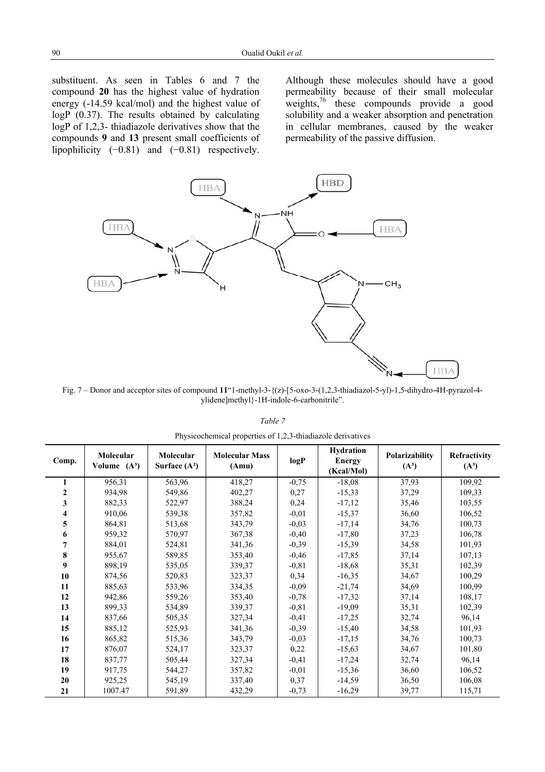substituent. As seen in Tables 6 and 7 the compound **20** has the highest value of hydration energy (-14.59 kcal/mol) and the highest value of logP (0.37). The results obtained by calculating logP of 1,2,3- thiadiazole derivatives show that the compounds **9** and **13** present small coefficients of lipophilicity  $(-0.81)$  and  $(-0.81)$  respectively.

Although these molecules should have a good permeability because of their small molecular weights, $76$  these compounds provide a good solubility and a weaker absorption and penetration in cellular membranes, caused by the weaker permeability of the passive diffusion.



Fig. 7 – Donor and acceptor sites of compound **11**"1-methyl-3-{(z)-[5-oxo-3-(1,2,3-thiadiazol-5-yl)-1,5-dihydro-4H-pyrazol-4 ylidene]methyl}-1H-indole-6-carbonitrile".

|--|--|

| Comp.        | Molecular<br>Volume $(A^3)$ | Molecular<br>Surface $(A^2)$ | <b>Molecular Mass</b><br>(Amu) | logP     | Hydration<br><b>Energy</b><br>(Kcal/Mol) | Polarizability<br>$(A^3)$ | Refractivity<br>$(A^3)$ |
|--------------|-----------------------------|------------------------------|--------------------------------|----------|------------------------------------------|---------------------------|-------------------------|
|              | 956,31                      | 563,96                       | 418,27                         | $-0,75$  | $-18,08$                                 | 37,93                     | 109,92                  |
| $\mathbf{2}$ | 934,98                      | 549,86                       | 402,27                         | 0,27     | $-15,33$                                 | 37,29                     | 109,33                  |
| 3            | 882,33                      | 522,97                       | 388,24                         | 0,24     | $-17,12$                                 | 35,46                     | 103,55                  |
| 4            | 910,06                      | 539,38                       | 357,82                         | $-0,01$  | $-15,37$                                 | 36,60                     | 106,52                  |
| 5            | 864,81                      | 513,68                       | 343,79                         | $-0,03$  | $-17,14$                                 | 34,76                     | 100,73                  |
| 6            | 959,32                      | 570,97                       | 367,38                         | $-0,40$  | $-17,80$                                 | 37,23                     | 106,78                  |
| 7            | 884,01                      | 524,81                       | 341,36                         | $-0,39$  | $-15,39$                                 | 34,58                     | 101,93                  |
| 8            | 955,67                      | 589,85                       | 353,40                         | $-0,46$  | $-17,85$                                 | 37,14                     | 107,13                  |
| 9            | 898,19                      | 535,05                       | 339,37                         | $-0, 81$ | $-18,68$                                 | 35,31                     | 102,39                  |
| 10           | 874,56                      | 520,83                       | 323,37                         | 0,34     | $-16,35$                                 | 34,67                     | 100,29                  |
| 11           | 885,63                      | 533,96                       | 334,35                         | $-0,09$  | $-21,74$                                 | 34,69                     | 100,99                  |
| 12           | 942,86                      | 559,26                       | 353,40                         | $-0,78$  | $-17,32$                                 | 37,14                     | 108,17                  |
| 13           | 899,33                      | 534,89                       | 339,37                         | $-0, 81$ | $-19,09$                                 | 35,31                     | 102,39                  |
| 14           | 837,66                      | 505,35                       | 327,34                         | $-0,41$  | $-17,25$                                 | 32,74                     | 96,14                   |
| 15           | 885,12                      | 525,93                       | 341,36                         | $-0,39$  | $-15,40$                                 | 34,58                     | 101,93                  |
| 16           | 865,82                      | 515,36                       | 343,79                         | $-0,03$  | $-17,15$                                 | 34,76                     | 100,73                  |
| 17           | 876,07                      | 524,17                       | 323,37                         | 0,22     | $-15,63$                                 | 34,67                     | 101,80                  |
| 18           | 837,77                      | 505,44                       | 327,34                         | $-0,41$  | $-17,24$                                 | 32,74                     | 96,14                   |
| 19           | 917,75                      | 544,27                       | 357,82                         | $-0,01$  | $-15,36$                                 | 36,60                     | 106,52                  |
| 20           | 925,25                      | 545,19                       | 337,40                         | 0,37     | $-14,59$                                 | 36,50                     | 106,08                  |
| 21           | 1007.47                     | 591,89                       | 432,29                         | $-0,73$  | $-16,29$                                 | 39,77                     | 115,71                  |

|  |  | Physicochemical properties of 1,2,3-thiadiazole derivatives |  |
|--|--|-------------------------------------------------------------|--|
|--|--|-------------------------------------------------------------|--|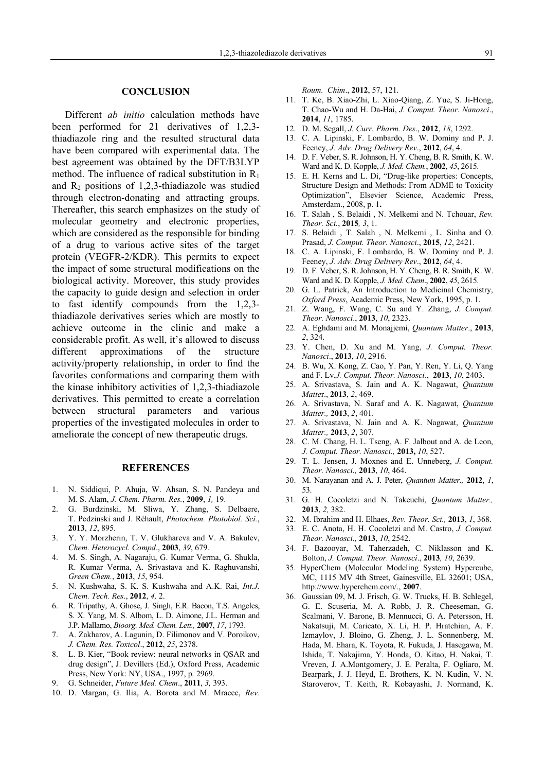#### **CONCLUSION**

Different *ab initio* calculation methods have been performed for 21 derivatives of 1,2,3 thiadiazole ring and the resulted structural data have been compared with experimental data. The best agreement was obtained by the DFT/B3LYP method. The influence of radical substitution in  $R_1$ and  $R_2$  positions of 1,2,3-thiadiazole was studied through electron-donating and attracting groups. Thereafter, this search emphasizes on the study of molecular geometry and electronic properties, which are considered as the responsible for binding of a drug to various active sites of the target protein (VEGFR-2/KDR). This permits to expect the impact of some structural modifications on the biological activity. Moreover, this study provides the capacity to guide design and selection in order to fast identify compounds from the 1,2,3 thiadiazole derivatives series which are mostly to achieve outcome in the clinic and make a considerable profit. As well, it's allowed to discuss different approximations of the structure activity/property relationship, in order to find the favorites conformations and comparing them with the kinase inhibitory activities of 1,2,3-thiadiazole derivatives. This permitted to create a correlation between structural parameters and various properties of the investigated molecules in order to ameliorate the concept of new therapeutic drugs.

#### **REFERENCES**

- 1. N. Siddiqui, P. Ahuja, W. Ahsan, S. N. Pandeya and M. S. Alam, *J. Chem. Pharm. Res.*, **2009**, *1,* 19.
- 2. G. Burdzinski, M. Sliwa, Y. Zhang, S. Delbaere, T. Pedzinski and J. Réhault, *Photochem. Photobiol. Sci.*, **2013**, *12*, 895.
- 3. Y. Y. Morzherin, T. V. Glukhareva and V. A. Bakulev, *Chem. Heterocycl. Compd*., **2003**, *39*, 679.
- 4. M. S. Singh, A. Nagaraju, G. Kumar Verma, G. Shukla, R. Kumar Verma, A. Srivastava and K. Raghuvanshi, *Green Chem.*, **2013**, *15*, 954.
- 5. N. Kushwaha, S. K. S. Kushwaha and A.K. Rai, *Int.J. Chem. Tech. Res*., **2012**, *4,* 2.
- 6. R. Tripathy, A. Ghose, J. Singh, E.R. Bacon, T.S. Angeles, S. X. Yang, M. S. Albom, L. D. Aimone, J.L. Herman and J.P. Mallamo, *Bioorg. Med. Chem. Lett.,* **2007**, *17*, 1793.
- 7. A. Zakharov, A. Lagunin, D. Filimonov and V. Poroikov, *J. Chem. Res. Toxicol*., **2012**, *25*, 2378.
- 8. L. B. Kier, "Book review: neural networks in QSAR and drug design", J. Devillers (Ed.), Oxford Press, Academic Press, New York: NY, USA., 1997, p*.* 2969.
- 9. G. Schneider, *Future Med. Chem*., **2011**, *3,* 393.
- 10. D. Margan, G. Ilia, A. Borota and M. Mracec, *Rev.*

*Roum. Chim*., **2012**, 57, 121.

- 11. T. Ke, B. Xiao-Zhi, L. Xiao-Qiang, Z. Yue, S. Ji-Hong, T. Chao-Wu and H. Da-Hai, *J. Comput. Theor. Nanosci*., **2014**, *11*, 1785.
- 12. D. M. Segall, *J. Curr. Pharm. Des*., **2012**, *18*, 1292.
- 13. C. A. Lipinski, F. Lombardo, B. W. Dominy and P. J. Feeney, *J. Adv. Drug Delivery Rev*., **2012**, *64*, 4.
- 14. D. F. Veber, S. R. Johnson, H. Y. Cheng, B. R. Smith, K. W. Ward and K. D. Kopple, *J. Med. Chem.*, **2002**, *45*, 2615.
- 15. E. H. Kerns and L. Di, "Drug-like properties: Concepts, Structure Design and Methods: From ADME to Toxicity Optimization", Elsevier Science, Academic Press, Amsterdam., 2008, p. 1**.**
- 16. T. Salah , S. Belaidi , N. Melkemi and N. Tchouar, *Rev. Theor. Sci.*, **2015***, 3*, 1.
- 17. S. Belaidi , T. Salah , N. Melkemi , L. Sinha and O. Prasad, *J. Comput. Theor. Nanosci*., **2015**, *12*, 2421.
- 18. C. A. Lipinski, F. Lombardo, B. W. Dominy and P. J. Feeney, *J. Adv. Drug Delivery Rev*., **2012**, *64*, 4.
- 19. D. F. Veber, S. R. Johnson, H. Y. Cheng, B. R. Smith, K. W. Ward and K. D. Kopple, *J. Med. Chem*., **2002**, *45*, 2615.
- 20. G. L. Patrick, An Introduction to Medicinal Chemistry, *Oxford Press*, Academic Press, New York, 1995, p. 1.
- 21. Z. Wang, F. Wang, C. Su and Y. Zhang, *J. Comput. Theor. Nanosci*., **2013**, *10*, 2323.
- 22. A. Eghdami and M. Monajjemi, *Quantum Matter*., **2013**, *2*, 324.
- 23. Y. Chen, D. Xu and M. Yang, *J. Comput. Theor. Nanosci*., **2013**, *10*, 2916.
- 24. B. Wu, X. Kong, Z. Cao, Y. Pan, Y. Ren, Y. Li, Q. Yang and F. Lv,*J. Comput. Theor. Nanosci*., **2013**, *10*, 2403.
- 25. A. Srivastava, S. Jain and A. K. Nagawat, *Quantum Matte*r., **2013**, *2*, 469.
- 26. A. Srivastava, N. Saraf and A. K. Nagawat, *Quantum Matter.,* **2013**, *2*, 401.
- 27. A. Srivastava, N. Jain and A. K. Nagawat, *Quantum Matter.,* **2013**, *2*, 307.
- 28. C. M. Chang, H. L. Tseng, A. F. Jalbout and A. de Leon, *J. Comput. Theor. Nanosci.,* **2013,** *10*, 527.
- 29. T. L. Jensen, J. Moxnes and E. Unneberg, *J. Comput. Theor. Nanosci.,* **2013**, *10*, 464.
- 30. M. Narayanan and A. J. Peter, *Quantum Matter.,* **2012**, *1*, 53.
- 31. G. H. Cocoletzi and N. Takeuchi, *Quantum Matter.,* **2013**, *2,* 382.
- 32. M. Ibrahim and H. Elhaes, *Rev. Theor. Sci.,* **2013**, *1*, 368.
- 33. E. C. Anota, H. H. Cocoletzi and M. Castro, *J. Comput. Theor. Nanosci.,* **2013**, *10*, 2542.
- 34. F. Bazooyar, M. Taherzadeh, C. Niklasson and K. Bolton, *J. Comput. Theor. Nanosci*., **2013***, 10*, 2639.
- 35. HyperChem (Molecular Modeling System) Hypercube, MC, 1115 MV 4th Street, Gainesville, EL 32601; USA, http://www.hyperchem.com/., **2007**.
- 36. Gaussian 09, M. J. Frisch, G. W. Trucks, H. B. Schlegel, G. E. Scuseria, M. A. Robb, J. R. Cheeseman, G. Scalmani, V. Barone, B. Mennucci, G. A. Petersson, H. Nakatsuji, M. Caricato, X. Li, H. P. Hratchian, A. F. Izmaylov, J. Bloino, G. Zheng, J. L. Sonnenberg, M. Hada, M. Ehara, K. Toyota, R. Fukuda, J. Hasegawa, M. Ishida, T. Nakajima, Y. Honda, O. Kitao, H. Nakai, T. Vreven, J. A.Montgomery, J. E. Peralta, F. Ogliaro, M. Bearpark, J. J. Heyd, E. Brothers, K. N. Kudin, V. N. Staroverov, T. Keith, R. Kobayashi, J. Normand, K.